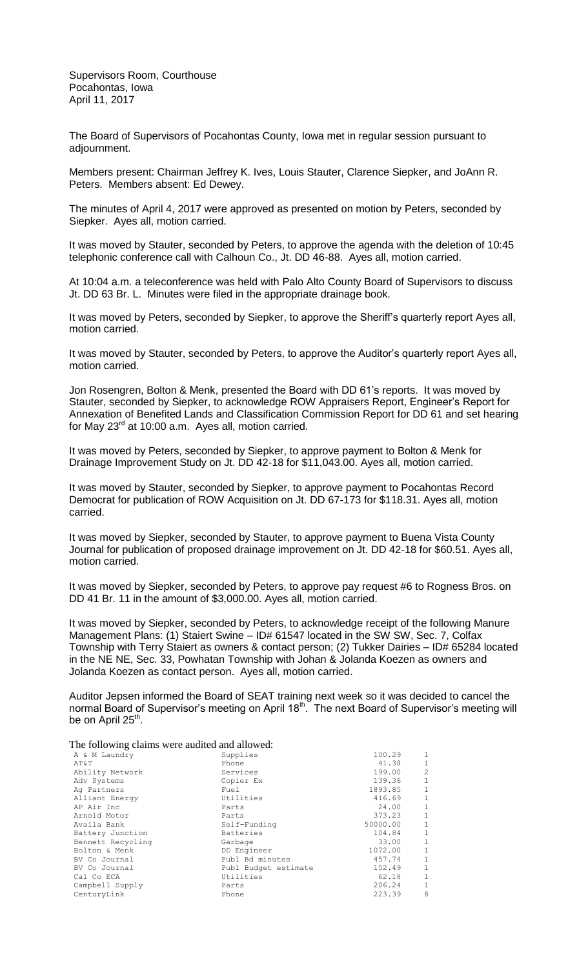Supervisors Room, Courthouse Pocahontas, Iowa April 11, 2017

The Board of Supervisors of Pocahontas County, Iowa met in regular session pursuant to adjournment.

Members present: Chairman Jeffrey K. Ives, Louis Stauter, Clarence Siepker, and JoAnn R. Peters. Members absent: Ed Dewey.

The minutes of April 4, 2017 were approved as presented on motion by Peters, seconded by Siepker. Ayes all, motion carried.

It was moved by Stauter, seconded by Peters, to approve the agenda with the deletion of 10:45 telephonic conference call with Calhoun Co., Jt. DD 46-88. Ayes all, motion carried.

At 10:04 a.m. a teleconference was held with Palo Alto County Board of Supervisors to discuss Jt. DD 63 Br. L. Minutes were filed in the appropriate drainage book.

It was moved by Peters, seconded by Siepker, to approve the Sheriff's quarterly report Ayes all, motion carried.

It was moved by Stauter, seconded by Peters, to approve the Auditor's quarterly report Ayes all, motion carried.

Jon Rosengren, Bolton & Menk, presented the Board with DD 61's reports. It was moved by Stauter, seconded by Siepker, to acknowledge ROW Appraisers Report, Engineer's Report for Annexation of Benefited Lands and Classification Commission Report for DD 61 and set hearing for May 23<sup>rd</sup> at 10:00 a.m. Ayes all, motion carried.

It was moved by Peters, seconded by Siepker, to approve payment to Bolton & Menk for Drainage Improvement Study on Jt. DD 42-18 for \$11,043.00. Ayes all, motion carried.

It was moved by Stauter, seconded by Siepker, to approve payment to Pocahontas Record Democrat for publication of ROW Acquisition on Jt. DD 67-173 for \$118.31. Ayes all, motion carried.

It was moved by Siepker, seconded by Stauter, to approve payment to Buena Vista County Journal for publication of proposed drainage improvement on Jt. DD 42-18 for \$60.51. Ayes all, motion carried.

It was moved by Siepker, seconded by Peters, to approve pay request #6 to Rogness Bros. on DD 41 Br. 11 in the amount of \$3,000.00. Ayes all, motion carried.

It was moved by Siepker, seconded by Peters, to acknowledge receipt of the following Manure Management Plans: (1) Staiert Swine – ID# 61547 located in the SW SW, Sec. 7, Colfax Township with Terry Staiert as owners & contact person; (2) Tukker Dairies – ID# 65284 located in the NE NE, Sec. 33, Powhatan Township with Johan & Jolanda Koezen as owners and Jolanda Koezen as contact person. Ayes all, motion carried.

Auditor Jepsen informed the Board of SEAT training next week so it was decided to cancel the normal Board of Supervisor's meeting on April 18<sup>th</sup>. The next Board of Supervisor's meeting will be on April 25<sup>th</sup>.

The following claims were audited and allowed:

| Supplies             | 100.29   | $\mathbf{1}$   |
|----------------------|----------|----------------|
| Phone                | 41.38    | $\mathbf{1}$   |
| Services             | 199.00   | $\overline{c}$ |
| Copier Ex            | 139.36   | $\mathbf{1}$   |
| Fuel                 | 1893.85  | $\mathbf{1}$   |
| Utilities            | 416.69   | $\mathbf{1}$   |
| Parts                | 24.00    | 1              |
| Parts                | 373.23   | $\mathbf{1}$   |
| Self-Funding         | 50000.00 | $\mathbf{1}$   |
| Batteries            | 104.84   | $\mathbf{1}$   |
| Garbage              | 33.00    | $\mathbf{1}$   |
| DD Engineer          | 1072.00  | $\mathbf{1}$   |
| Publ Bd minutes      | 457.74   | $\mathbf{1}$   |
| Publ Budget estimate | 152.49   | $\mathbf{1}$   |
| Utilities            | 62.18    | $1\,$          |
| Parts                | 206.24   | $\mathbf{1}$   |
| Phone                | 223.39   | 8              |
|                      |          |                |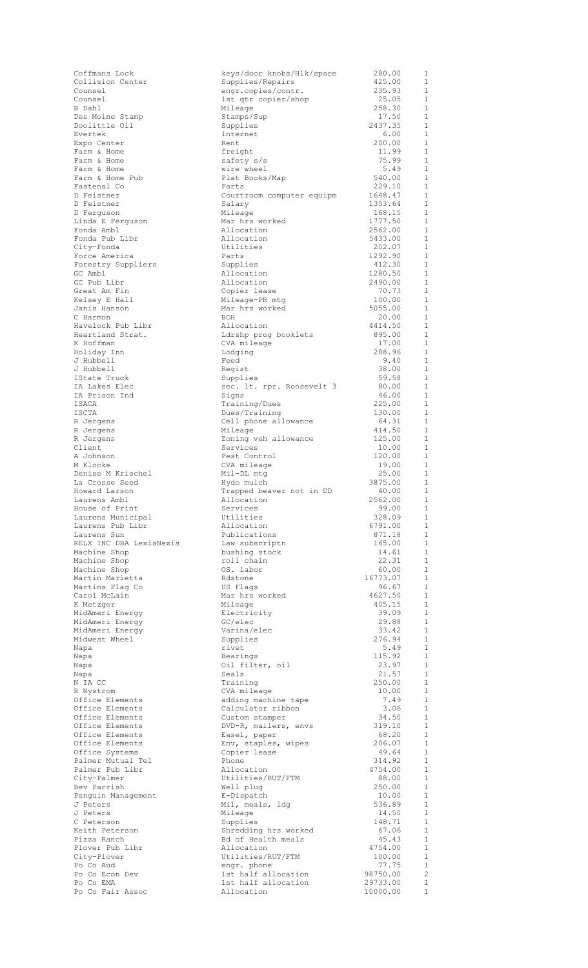| Collision Center                                             |
|--------------------------------------------------------------|
| Counsel                                                      |
| Counsel                                                      |
| B Dahl                                                       |
|                                                              |
| Des Moine Stamp<br>Doolittle Oil                             |
|                                                              |
| Evertek                                                      |
| Expo Center                                                  |
|                                                              |
|                                                              |
|                                                              |
| Farm & Home<br>Farm & Home<br>Farm & Home<br>Farm & Home Pub |
| Fastenal Co                                                  |
|                                                              |
| D Feistner                                                   |
| D Feistner<br>D Ferguson                                     |
|                                                              |
| Linda E Ferguson                                             |
| Fonda Ambl                                                   |
| Fonda Pub Libr                                               |
| City-Fonda                                                   |
| Force America                                                |
| Forestry Suppliers                                           |
|                                                              |
| GC Ambl                                                      |
| GC Pub Libr                                                  |
| Great Am Fin                                                 |
| Kelsey E Hall                                                |
| Janis Hanson                                                 |
| C Harmon                                                     |
| Havelock Pub Libr                                            |
| Heartland Strat.                                             |
| K Hoffman                                                    |
|                                                              |
| Holiday Inn                                                  |
| J Hubbell                                                    |
| J Hubbell                                                    |
| IState Truck                                                 |
| IA Lakes Elec                                                |
| IA Prison Ind                                                |
| ISACA                                                        |
| <b>ISCTA</b>                                                 |
|                                                              |
| R Jergens                                                    |
| R Jergens                                                    |
| R Jergens                                                    |
| Client                                                       |
| A Johnson                                                    |
| M Klocke                                                     |
| Denise M Krischel                                            |
| La Crosse Seed                                               |
|                                                              |
| Howard Larson                                                |
|                                                              |
| Laurens Ambl                                                 |
| House of Print                                               |
|                                                              |
| Laurens Municipal                                            |
|                                                              |
| Laurens Pub Libr<br>Laurens Sun                              |
| RELX INC DBA LexisNex.                                       |
|                                                              |
|                                                              |
| Machine Shop<br>Machine Shop<br>Machine Shop                 |
| Martin Marietta                                              |
| Martins Flag Co                                              |
|                                                              |
| Carol McLain                                                 |
| K Metzger                                                    |
|                                                              |
|                                                              |
| MidAmeri Energy<br>MidAmeri Energy<br>MidAmeri Energy        |
| Midwest Wheel                                                |
| Napa                                                         |
| Napa                                                         |
| Napa                                                         |
| Napa                                                         |
|                                                              |
| N IA CC                                                      |
| R Nystrom                                                    |
|                                                              |
| Office Elements<br>Office Elements                           |
|                                                              |
| Office Elements<br>Office Elements                           |
|                                                              |
| Office Elements<br>Office Elements                           |
|                                                              |
| Office Systems                                               |
| Palmer Mutual Tel                                            |
| Palmer Pub Libr                                              |
| City-Palmer                                                  |
| Bev Parrish                                                  |
| Penguin Management                                           |
| J Peters                                                     |
| J<br>Peters                                                  |
| C Peterson                                                   |
| Keith Peterson                                               |
| Pizza Ranch                                                  |
|                                                              |
| Plover Pub Libr                                              |
| City-Plover                                                  |
| Po Co Aud                                                    |
| Po Co Econ Dev                                               |
| <b>Po Co EMA<br/>Po Co Fair Assoc</b>                        |

| Coffmans Lock           | keys/door knobs/Hlk/spare | 280.00   | 1                        |
|-------------------------|---------------------------|----------|--------------------------|
| Collision Center        | Supplies/Repairs          | 425.00   | 1                        |
| Counsel                 | engr.copies/contr.        | 235.93   | 1                        |
| Counsel                 | 1st qtr copier/shop       | 25.05    | 1                        |
| B Dahl                  |                           | 258.30   | 1                        |
|                         | Mileage                   |          |                          |
| Des Moine Stamp         | Stamps/Sup                | 17.50    | 1                        |
| Doolittle Oil           | Supplies                  | 2437.35  | 1                        |
| Evertek                 | Internet                  | 6.00     | 1                        |
| Expo Center             | Rent                      | 200.00   | -1                       |
| Farm & Home             | freight                   | 11.99    | 1                        |
| Farm & Home             | safety s/s                | 75.99    | <sup>1</sup>             |
| Farm & Home             | wire wheel                | 5.49     | 1                        |
| Farm & Home Pub         | Plat Books/Map            | 540.00   | 1                        |
| Fastenal Co             | Parts                     | 229.10   | 1                        |
| D Feistner              | Courtroom computer equipm | 1648.47  | 1                        |
| D Feistner              | Salary                    | 1353.64  | 1                        |
| D Ferguson              | Mileage                   | 168.15   | 1                        |
| Linda E Ferguson        | Mar hrs worked            | 1777.50  | 1                        |
| Fonda Ambl              | Allocation                | 2562.00  | 1                        |
| Fonda Pub Libr          | Allocation                | 5433.00  | 1                        |
|                         |                           |          |                          |
| City-Fonda              | Utilities                 | 202.07   | 1                        |
| Force America           | Parts                     | 1292.90  | 1                        |
| Forestry Suppliers      | Supplies                  | 412.30   | 1                        |
| GC Ambl                 | Allocation                | 1280.50  | $\mathbf{1}$             |
| GC Pub Libr             | Allocation                | 2490.00  | 1                        |
| Great Am Fin            | Copier lease              | 70.73    | 1                        |
| Kelsey E Hall           | Mileage-PR mtg            | 100.00   | 1                        |
| Janis Hanson            | Mar hrs worked            | 5055.00  | 1                        |
| C Harmon                | BOH                       | 20.00    | 1                        |
| Havelock Pub Libr       | Allocation                | 4414.50  | 1                        |
| Heartland Strat.        |                           |          |                          |
|                         | Ldrshp prog booklets      | 895.00   | 1                        |
| K Hoffman               | CVA mileage               | 17.00    | $\mathbf{1}$             |
| Holiday Inn             | Lodging                   | 288.96   | $\mathbf{1}$             |
| J Hubbell               | Feed                      | 9.40     | <sup>1</sup>             |
| J Hubbell               | Regist                    | 38.00    | 1                        |
| IState Truck            | Supplies                  | 59.58    | 1                        |
| IA Lakes Elec           | sec. lt. rpr. Roosevelt 3 | 80.00    | 1                        |
| IA Prison Ind           | Signs                     | 46.00    | 1                        |
| ISACA                   | Training/Dues             | 225.00   | $\mathbf{1}$             |
| ISCTA                   | Dues/Training             | 130.00   | $\mathbf{1}$             |
| R Jergens               | Cell phone allowance      | 64.31    | 1                        |
|                         |                           | 414.50   | $\mathbf{1}$             |
| R Jergens               | Mileage                   |          |                          |
| R Jergens               | Zoning veh allowance      | 125.00   | 1                        |
| Client                  | Services                  | 10.00    | 1                        |
| A Johnson               | Pest Control              | 120.00   | 1                        |
| M Klocke                | CVA mileage               | 19.00    | $\mathbf{1}$             |
| Denise M Krischel       | Mil-DL mtg                | 25.00    | 1                        |
| La Crosse Seed          | Hydo mulch                | 3875.00  | 1                        |
| Howard Larson           | Trapped beaver not in DD  | 40.00    | 1                        |
| Laurens Ambl            | Allocation                | 2562.00  | $\overline{1}$           |
| House of Print          | Services                  | 99.00    | $\mathbf{1}$             |
| Laurens Municipal       | Utilities                 | 328.09   | $\mathbf{1}$             |
| Laurens Pub Libr        |                           | 6791.00  |                          |
|                         | Allocation                |          | $\mathbf{1}$             |
| Laurens Sun             | Publications              | 871.18   | 1                        |
| RELX INC DBA LexisNexis | Law subscriptn            | 165.00   | $\mathbf{1}$             |
| Machine Shop            | bushing stock             | 14.61    | $\overline{1}$           |
| Machine Shop            | roll chain                | 22.31    | <sup>1</sup>             |
| Machine Shop            | OS. labor                 | 60.00    | $\overline{1}$           |
| Martin Marietta         | Rdstone                   | 16773.07 | $\mathbf{1}$             |
| Martins Flaq Co         | US Flags                  | 96.67    | $\overline{1}$           |
| Carol McLain            | Mar hrs worked            | 4627.50  | $\mathbf{1}$             |
| K Metzger               | Mileage                   | 405.15   | $\overline{1}$           |
| MidAmeri Energy         | Electricity               | 39.09    | 1                        |
| MidAmeri Energy         | GC/elec                   | 29.88    | $\overline{1}$           |
|                         |                           |          |                          |
| MidAmeri Energy         | Varina/elec               | 33.42    | $\overline{1}$           |
| Midwest Wheel           | Supplies                  | 276.94   | $\overline{1}$           |
| Napa                    | rivet                     | 5.49     | 1                        |
| Napa                    | Bearings                  | 115.92   | $\overline{1}$           |
| Napa                    | Oil filter, oil           | 23.97    | $\overline{1}$           |
| Napa                    | Seals                     | 21.57    | $\overline{1}$           |
| N IA CC                 | Training                  | 250.00   | $\mathbf{1}$             |
| R Nystrom               | CVA mileage               | 10.00    | $\overline{1}$           |
| Office Elements         | adding machine tape       | 7.49     | $\overline{\phantom{0}}$ |
| Office Elements         | Calculator ribbon         | 3.06     | $\mathbf{1}$             |
| Office Elements         | Custom stamper            | 34.50    | $\overline{\phantom{0}}$ |
| Office Elements         | DVD-R, mailers, envs      | 319.10   | -1                       |
| Office Elements         | Easel, paper              | 68.20    | $\mathbf{1}$             |
|                         |                           |          |                          |
| Office Elements         | Env, staples, wipes       | 206.07   | $\overline{1}$           |
| Office Systems          | Copier lease              | 49.64    | $\overline{1}$           |
| Palmer Mutual Tel       | Phone                     | 314.92   | <sup>1</sup>             |
| Palmer Pub Libr         | Allocation                | 4754.00  | $\overline{1}$           |
| City-Palmer             | Utilities/RUT/FTM         | 88.00    | -1                       |
| Bev Parrish             | Well plug                 | 250.00   | <sup>1</sup>             |
| Penguin Management      | E-Dispatch                | 10.00    | -1                       |
| J Peters                | Mil, meals, ldg           | 536.89   | <sup>1</sup>             |
| J Peters                | Mileage                   | 14.50    | 1                        |
| C Peterson              | Supplies                  | 148.71   | -1                       |
| Keith Peterson          | Shredding hrs worked      | 67.06    | 1                        |
| Pizza Ranch             | Bd of Health meals        | 45.43    | -1                       |
| Plover Pub Libr         | Allocation                | 4754.00  | 1                        |
| City-Plover             | Utilities/RUT/FTM         | 100.00   | -1                       |
|                         |                           |          |                          |
| Po Co Aud               | engr. phone               | 77.75    | 1                        |
| Po Co Econ Dev          | 1st half allocation       | 98750.00 | $\overline{c}$           |
| Po Co EMA               | 1st half allocation       | 29733.00 | $\mathbf{1}$             |
| Po Co Fair Assoc        | Allocation                | 10000.00 | $1\,$                    |
|                         |                           |          |                          |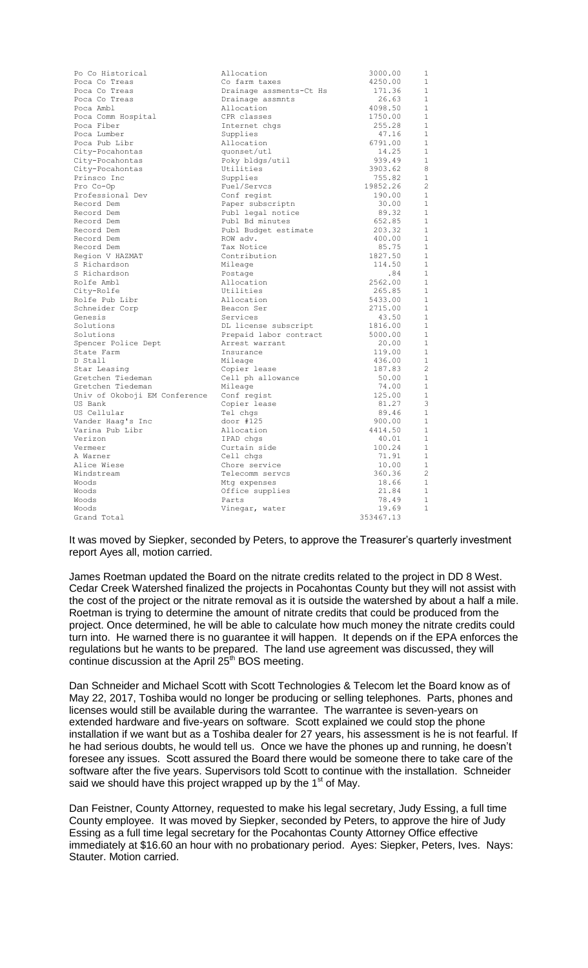| Po Co Historical              | Allocation              | 3000.00   | 1              |
|-------------------------------|-------------------------|-----------|----------------|
| Poca Co Treas                 | Co farm taxes           | 4250.00   | 1              |
| Poca Co Treas                 | Drainage assments-Ct Hs | 171.36    | $\mathbf{1}$   |
| Poca Co Treas                 | Drainage assmnts        | 26.63     | $\mathbf{1}$   |
| Poca Ambl                     | Allocation              | 4098.50   | 1              |
| Poca Comm Hospital            | CPR classes             | 1750.00   | $\mathbf{1}$   |
| Poca Fiber                    | Internet chgs           | 255.28    | $\mathbf{1}$   |
| Poca Lumber                   | Supplies                | 47.16     | $\mathbf{1}$   |
| Poca Pub Libr                 | Allocation              | 6791.00   | $\mathbf{1}$   |
| City-Pocahontas               | quonset/utl             | 14.25     | $\mathbf{1}$   |
| City-Pocahontas               | Poky bldgs/util         | 939.49    | 1              |
| City-Pocahontas               | Utilities               | 3903.62   | 8              |
| Prinsco Inc                   | Supplies                | 755.82    | $\mathbf{1}$   |
| Pro Co-Op                     | Fuel/Servcs             | 19852.26  | $\overline{c}$ |
| Professional Dev              | Conf regist             | 190.00    | $\mathbf{1}$   |
| Record Dem                    | Paper subscriptn        | 30.00     | $\mathbf{1}$   |
| Record Dem                    | Publ legal notice       | 89.32     | $\mathbf{1}$   |
| Record Dem                    | Publ Bd minutes         | 652.85    | 1              |
| Record Dem                    | Publ Budget estimate    | 203.32    | $\mathbf 1$    |
| Record Dem                    | ROW adv.                | 400.00    | $\mathbf{1}$   |
| Record Dem                    | Tax Notice              | 85.75     | $\mathbf 1$    |
| Region V HAZMAT               | Contribution            | 1827.50   | $\mathbf{1}$   |
| S Richardson                  | Mileage                 | 114.50    | $\mathbf{1}$   |
| S Richardson                  | Postage                 | .84       | $\mathbf{1}$   |
| Rolfe Ambl                    | Allocation              | 2562.00   | $\mathbf{1}$   |
| City-Rolfe                    | Utilities               | 265.85    | $\mathbf{1}$   |
| Rolfe Pub Libr                | Allocation              | 5433.00   | $\mathbf{1}$   |
| Schneider Corp                | Beacon Ser              | 2715.00   | $\mathbf{1}$   |
| Genesis                       | Services                | 43.50     | $\mathbf{1}$   |
| Solutions                     | DL license subscript    | 1816.00   | $\mathbf{1}$   |
| Solutions                     | Prepaid labor contract  | 5000.00   | $\mathbf{1}$   |
| Spencer Police Dept           | Arrest warrant          | 20.00     | $\mathbf{1}$   |
| State Farm                    | Insurance               | 119.00    | $\mathbf 1$    |
| D Stall                       | Mileage                 | 436.00    | $\mathbf{1}$   |
| Star Leasing                  | Copier lease            | 187.83    | $\overline{c}$ |
| Gretchen Tiedeman             | Cell ph allowance       | 50.00     | 1              |
| Gretchen Tiedeman             | Mileage                 | 74.00     | $\mathbf{1}$   |
| Univ of Okoboji EM Conference | Conf regist             | 125.00    | $\mathbf{1}$   |
| US Bank                       | Copier lease            | 81.27     | 3              |
| US Cellular                   | Tel chqs                | 89.46     | $\mathbf 1$    |
| Vander Haaq's Inc             | door $#125$             | 900.00    | $\mathbf{1}$   |
| Varina Pub Libr               | Allocation              | 4414.50   | 1              |
| Verizon                       | IPAD chgs               | 40.01     | 1              |
| Vermeer                       | Curtain side            | 100.24    | $\mathbf{1}$   |
| A Warner                      | Cell chgs               | 71.91     | $\mathbf{1}$   |
| Alice Wiese                   | Chore service           | 10.00     | 1              |
| Windstream                    | Telecomm servcs         | 360.36    | $\overline{c}$ |
| Woods                         | Mtg expenses            | 18.66     | $\mathbf{1}$   |
| Woods                         | Office supplies         | 21.84     | $\mathbf{1}$   |
| Woods                         | Parts                   | 78.49     | $\mathbf{1}$   |
| Woods                         | Vinegar, water          | 19.69     | $\mathbf{1}$   |
| Grand Total                   |                         | 353467.13 |                |

It was moved by Siepker, seconded by Peters, to approve the Treasurer's quarterly investment report Ayes all, motion carried.

James Roetman updated the Board on the nitrate credits related to the project in DD 8 West. Cedar Creek Watershed finalized the projects in Pocahontas County but they will not assist with the cost of the project or the nitrate removal as it is outside the watershed by about a half a mile. Roetman is trying to determine the amount of nitrate credits that could be produced from the project. Once determined, he will be able to calculate how much money the nitrate credits could turn into. He warned there is no guarantee it will happen. It depends on if the EPA enforces the regulations but he wants to be prepared. The land use agreement was discussed, they will continue discussion at the April 25<sup>th</sup> BOS meeting.

Dan Schneider and Michael Scott with Scott Technologies & Telecom let the Board know as of May 22, 2017, Toshiba would no longer be producing or selling telephones. Parts, phones and licenses would still be available during the warrantee. The warrantee is seven-years on extended hardware and five-years on software. Scott explained we could stop the phone installation if we want but as a Toshiba dealer for 27 years, his assessment is he is not fearful. If he had serious doubts, he would tell us. Once we have the phones up and running, he doesn't foresee any issues. Scott assured the Board there would be someone there to take care of the software after the five years. Supervisors told Scott to continue with the installation. Schneider said we should have this project wrapped up by the 1<sup>st</sup> of May.

Dan Feistner, County Attorney, requested to make his legal secretary, Judy Essing, a full time County employee. It was moved by Siepker, seconded by Peters, to approve the hire of Judy Essing as a full time legal secretary for the Pocahontas County Attorney Office effective immediately at \$16.60 an hour with no probationary period. Ayes: Siepker, Peters, Ives. Nays: Stauter. Motion carried.